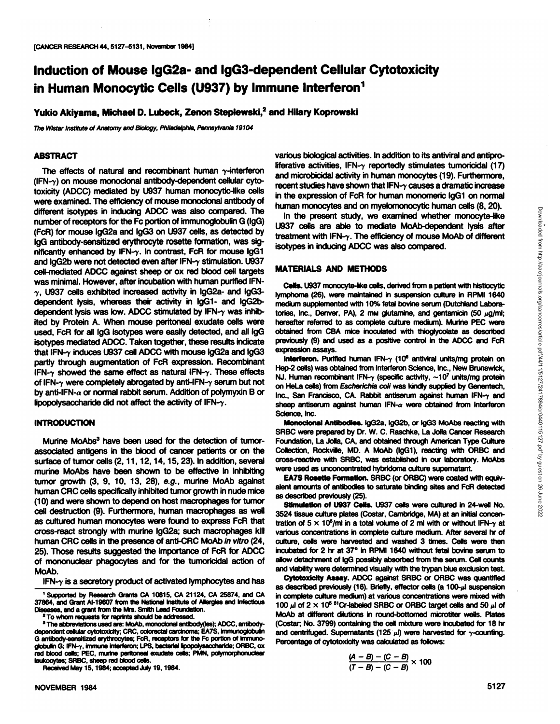# Induction of Mouse lgG2a- and lgG3-dependent Cellular Cytotoxicity in Human Monocytic Cells (U937) by Immune Interferon<sup>1</sup>

**Yukio Akiyama, Michael D. Lübeck,Zenon Steplewski,2 and Hilary Koprowski**

The Wlstar Institute of Anatomy and Biology. Philadelphia, Pennsylvania 19104

# **ABSTRACT**

The effects of natural and recombinant human  $\gamma$ -interferon (IFN-7) on mouse monoclonal antibody-dependent cellular cytotoxicity (ADCC) mediated by U937 human monocytic-like cells were examined. The efficiency of mouse monoclonal antibody of different isotypes in inducing ADCC was also compared. The number of receptors for the Fc portion of immunoglobulin G (IgG) (FcR) for mouse lgG2a and IgGS on U937 cells, as detected by IgG antibody-sensitized erythrocyte rosette formation, was sig nificantly enhanced by IFN- $\gamma$ . In contrast, FcR for mouse IgG1 and IgG2b were not detected even after IFN- $\gamma$  stimulation. U937 cell-mediated ADCC against sheep or ox red blood cell targets was minimal. However, after incubation with human purified IFN- $\gamma$ , U937 cells exhibited increased activity in IgG2a- and IgG3dependent lysis, whereas their activity in lgG1- and lgG2bdependent lysis was low. ADCC stimulated by IFN- $\gamma$  was inhibited by Protein A. When mouse peritoneal exudate cells were used, FcR for all IgG isotypes were easily detected, and all IgG isotypes mediated ADCC. Taken together, these results indicate that IFN- $\gamma$  induces U937 cell ADCC with mouse IgG2a and IgG3 partly through augmentation of FcR expression. Recombinant IFN- $\gamma$  showed the same effect as natural IFN- $\gamma$ . These effects of IFN- $\gamma$  were completely abrogated by anti-IFN- $\gamma$  serum but not by anti-IFN- $\alpha$  or normal rabbit serum. Addition of polymyxin B or lipopolysaccharide did not affect the activity of  $IFN-\gamma$ .

# **INTRODUCTION**

Murine MoAbs<sup>3</sup> have been used for the detection of tumorassociated antigens in the blood of cancer patients or on the surface of tumor cells (2,11,12,14,15,23). In addition, several murine MoAbs have been shown to be effective in inhibiting tumor growth (3,9, 10, 13, 28), e.g., murine MoAb against human CRC cells specifically inhibited tumor growth in nude mice (10) and were shown to depend on host macrophages for tumor cell destruction (9). Furthermore, human macrophages as well as cultured human monocytes were found to express FcR that cross-react strongly with murine lgG2a; such macrophages kill human CRC cells in the presence of anti-CRC MoAb in vitro (24, 25). Those results suggested the importance of FcR for ADCC of mononudear phagocytes and for the tumoricidal action of MoAb.

 $IFN-\gamma$  is a secretory product of activated lymphocytes and has

1Supported by Research Grants CA 10815, CA 21124, CA 25874, and CA 37864, and Grant Al-19607 from the National Institute of Allergies and Infectious Diseases, and <sup>a</sup> grant from the Mrs. Smith Lead Foundation. \* To whom requests for reprints should be addressed.

<sup>9</sup> The abbreviations used are: MoAb, monoclonal antibody(ies); ADCC, antibodydependent cellular cytotoxicity; CRC, colorectal carcinoma; EA7S, immunoglobulin G antibody-sensitized erythrocytes; FcR, receptors for the Fc portion of immuno globulin G; IFN- $\gamma$ , immune interferon; LPS, bacterial lipopolysaccharide; ORBC, ox red blood cells; PEC, murine peritoneal exudate cells; PMN, polymorphonuclear leukocytes; SRBC, sheep red blood cells.

Received May 15,1984; accepted July 19,1984.

various biological activities. In addition to its antiviral and antiproliferative activities, IFN- $\gamma$  reportedly stimulates tumoricidal (17) and microbicidal activity in human monocytes (19). Furthermore, recent studies have shown that  $IFN-\gamma$  causes a dramatic increase in the expression of FcR for human monomeric lgG1 on normal human monocytes and on myelomonocytic human cells (8,20).

In the present study, we examined whether monocyte-like U937 cells are able to mediate MoAb-dependent lysis after treatment with IFN-7. The efficiency of mouse MoAb of different isotypes in inducing ADCC was also compared.

# **MATERIALS AND METHODS**

**Cells.** U937 monocyte-like cells, derived from a patient with histiocytic lymphoma (26), were maintained in suspension culture in RPMI 1640 medium supplemented with 10% fetal bovine serum (Dutchland Labora tories, Inc., Denver, PA), 2 mm glutamine, and gentamicin (50  $\mu$ g/ml; hereafter referred to as complete culture medium). Murine PEC were obtained from CBA mice inoculated with ihioglycolate as described nten into worse and varing work and the ADCC and FcR (or, or)<br>
In the present study, we examined whether monocyte-like<br>
US37 cells are able to modiate MoAb-dependent lysts after<br>
tractment with liFN-y. The efficiency of mo expression assays.

**Interferon. Purified human IFN-7 (10\* antiviral units/mg protein on** Hep-2 cells) was obtained from Interferon Science, Inc., New Brunswick, NJ. Human recombinant IFN- $\gamma$  (specific activity,  $\sim$ 10<sup>7</sup> units/mg protein on HeLa cells) from Escherichia coli was kindly supplied by Genentech, Inc., San Francisco, CA. Rabbit antiserum against human IFN- $\gamma$  and sheep antiserum against human IFN- $\alpha$  were obtained from Interferon Science, Inc.

**Monoclonal Antibodies. lgG2a, lgG2b, or lgG3 MoAbs reacting with** SRBC were prepared by Or. W. C. Raschke, La Jolla Cancer Research Foundation, La Jolla, CA, and obtained through American Type Culture Collection, Rockvllle, MO. A MoAb (lgG1), reacting with ORBC and cross-reactive with SRBC, was established in our laboratory. MoAbs were used as unconcentrated hybridoma culture supernatant.

**EA7S Rosette Formation. SRBC (or ORBC) were coated with equiv** alent amounts of antibodies to saturate binding sites and FcR detected as described previously (25).

**Stimulation of U937 Cells. U937 cells were cultured in 24-well No.** 3524 tissue culture plates (Costar, Cambridge, MA) at an initial concen tration of  $5 \times 10^5$ /ml in a total volume of 2 ml with or without IFN- $\gamma$  at various concentrations in complete culture medium. After several hr of culture, cells were harvested and washed 3 times. Cells were then incubated for 2 hr at 37° in RPMI 1640 without fetal bovine serum to allow detachment of IgG possibly absorbed from the serum. Cell counts and viability were determined visually with the trypan blue exclusion test.

**Cytotoxicity Assay. ADCC against SRBC or ORBC was quantified** as described previously (16). Briefly, effector cells (a 100-µl suspension in complete culture medium) at various concentrations were mixed with 100  $\mu$ l of 2  $\times$  10<sup>5 51</sup>Cr-labeled SRBC or ORBC target cells and 50  $\mu$ l of MoAb at different dilutions in round-bottomed microtiter wells. Plates (Costar; No. 3799) containing the cell mixture were incubated for 18 hr and centrifuged. Supernatants (125  $\mu$ I) were harvested for  $\gamma$ -counting. Percentage of cytotoxicity was calculated as follows:

$$
\frac{(A-B)-(C-B)}{(T-B)-(C-B)} \times 100
$$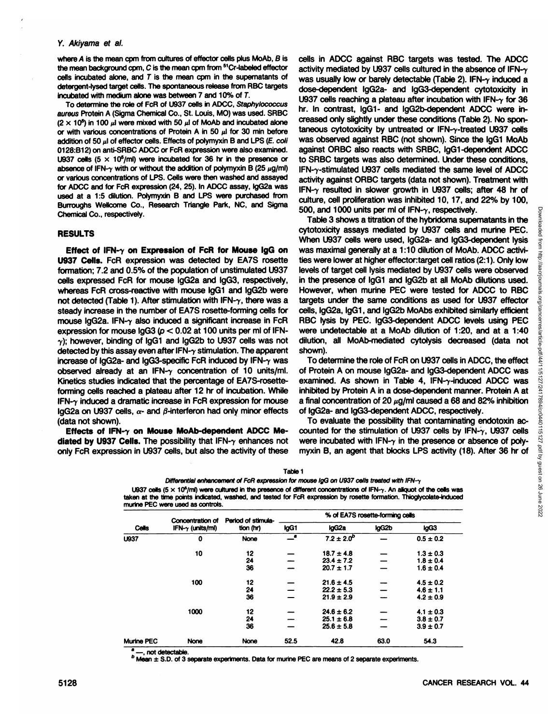## Y. Akiyama et al.

where A is the mean com from cultures of effector cells plus MoAb, B is the mean background cpm, C is the mean cpm from <sup>51</sup>Cr-labeled effector cells incubated alone, and  $T$  is the mean cpm in the supernatants of detergent-lysed target cells. The spontaneous release from RBC targets incubated with medium alone was between 7 and 10% of 7.

To determine the role of FcR of U937 cells in ADCC, Staphylococcus aureus Protein A (Sigma Chemical Co., St. Louis, MO) was used. SRBC  $(2 \times 10^5)$  in 100  $\mu$  were mixed with 50  $\mu$  of MoAb and incubated alone or with various concentrations of Protein A in 50  $\mu$ I for 30 min before addition of 50  $\mu$  of effector cells. Effects of polymyxin B and LPS ( $E.$  coli 0128:B12) on anti-SRBC ADCC or FcR expression were also examined. U937 cells  $(5 \times 10^5/m)$  were incubated for 36 hr in the presence or absence of IFN- $\gamma$  with or without the addition of polymyxin B (25  $\mu$ g/ml) or various concentrations of LPS. Cells were then washed and assayed for ADCC and for FcR expression (24, 25). In ADCC assay, IgG2a was used at a 1:5 dilution. Polymyxin B and LPS were purchased from Burroughs Wellcome Co., Research Triangle Park, NC, and Sigma Chemical Co., respectively.

## **RESULTS**

Effect of IFN- $\gamma$  on Expression of FcR for Mouse IgG on U937 Cells. FcR expression was detected by EA7S rosette formation; 7.2 and 0.5% of the population of unstimulated U937 cells expressed FcR for mouse lgG2a and lgG3, respectively, whereas FcR cross-reactive with mouse lgG1 and lgG2b were not detected (Table 1). After stimulation with IFN- $\gamma$ , there was a steady increase in the number of EA7S rosette-forming cells for mouse IgG2a. IFN- $\gamma$  also induced a significant increase in FcR expression for mouse  $log3$  ( $p < 0.02$  at 100 units per ml of IFN- $\gamma$ ); however, binding of lgG1 and lgG2b to U937 cells was not detected by this assay even after IFN- $\gamma$  stimulation. The apparent increase of IgG2a- and IgG3-specific FcR induced by IFN- $\gamma$  was observed already at an IFN- $\gamma$  concentration of 10 units/ml. Kinetics studies indicated that the percentage of EA7S-rosetteforming cells reached a plateau after 12 hr of incubation. While  $IFN-\gamma$  induced a dramatic increase in FcR expression for mouse IgG2a on U937 cells,  $\alpha$ - and  $\beta$ -interferon had only minor effects (data not shown).

Effects of IFN- $\gamma$  on Mouse MoAb-dependent ADCC Mediated by U937 Cells. The possibility that IFN- $\gamma$  enhances not only FcR expression in U937 cells, but also the activity of these cells in ADCC against RBC targets was tested. The ADCC activity mediated by U937 cells cultured in the absence of IFN- $\gamma$ was usually low or barely detectable (Table 2). IFN- $\gamma$  induced a dose-dependent lgG2a- and lgG3-dependent cytotoxicity in U937 cells reaching a plateau after incubation with IFN- $\gamma$  for 36 hr. In contrast, lgG1- and lgG2b-dependent ADCC were in creased only slightly under these conditions (Table 2). No spon taneous cytotoxicity by untreated or  $IFN-\gamma$ -treated U937 cells was observed against RBC (not shown). Since the lgG1 MoAb against ORBC also reacts with SRBC, IgG1-dependent ADCC to SRBC targets was also determined. Under these conditions,  $IFN-\gamma$ -stimulated U937 cells mediated the same level of ADCC activity against ORBC targets (data not shown). Treatment with IFN- $\gamma$  resulted in slower growth in U937 cells; after 48 hr of culture, cell proliferation was inhibited 10,17, and 22% by 100, 500, and 1000 units per ml of IFN- $\gamma$ , respectively.

Table 3 shows a titration of the hybridoma supernatants in the  $\frac{2}{5}$  totoxicity assays mediated by U937 cells and murine PEC. cytotoxicity assays mediated by U937 cells and murine PEC. When U937 cells were used, IgG2a- and IgG3-dependent lysis  $\frac{3}{3}$ <br>wes movimal conorally at a 1:10 dilution of MoAb, ADCC setting was maximal generally at a 1:10 dilution of MoAb. ADCC activi-<br>ties were lower at higher effector target cell ratios (2:1). Only low ties were lower at higher effector:target cell ratios (2:1). Only low levels of target cell lysis mediated by U937 cells were observed in the presence of lgG1 and lgG2b at all MoAb dilutions used. However, when murine PEC were tested for ADCC to RBC targets under the same conditions as used for U937 effector and cells, IgG2a, IgG1, and IgG2b MoAbs exhibited similarly efficient cells, lgG2a, lgG1, and lgG2b MoAbs exhibited similarly efficient RBC lysis by PEC. IgG3-dependent ADCC levels using PEC  $\frac{62}{3}$  were undetectable at a MoAb dilution of 1:20, and at a 1:40 dilution, all MoAb-mediated cytolysis decreased (data not  $\frac{5}{9}$ were undetectable at a MoAb dilution of 1:20, and at a 1:40 dilution, all MoAb-mediated cytolysis decreased (data not shown).

Using.<br>To determine the role of FcR on U937 cells in ADCC, the effect<br>Protein A on mouse IgG2a- and IgG3-dependent ADCC was of Protein A on mouse lgG2a- and lgG3-dependent ADCC was examined. As shown in Table 4, IFN- $\gamma$ -induced ADCC was inhibited by Protein A in a dose-dependent manner. Protein A at a final concentration of 20  $\mu$ g/ml caused a 68 and 82% inhibition inhibited by Protein A in a dose-dependent manner. Protein A at a final concentration of 20  $\mu$ g/ml caused a 68 and 82% inhibition of lgG2a- and IgGS-dependent ADCC, respectively.

IgG2a- and IgG3-dependent ADCC, respectively.<br>To evaluate the possibility that contaminating endotoxin accounted for the stimulation of U937 cells by IFN- $\gamma$ , U937 cells<br>were incubated with IFN- $\gamma$  in the presence or absence of poly-<br>myxin B, an agent that blocks LPS activity (18). After 36 hr of<br> $\frac{1}{2}$ <br> $\frac{1}{2}$ <br>incuse were incubated with IFN- $\gamma$  in the presence or absence of polymyxin B, an agent that blocks LPS activity (18). After 36 hr of

| Table 1                                                                                                                                    |
|--------------------------------------------------------------------------------------------------------------------------------------------|
| Differential enhancement of FcR expression for mouse IgG on U937 cells treated with IFN- $\gamma$                                          |
| $1027$ calle (5 $\times$ 10 <sup>6</sup> /mh wars cultured in the presence of different concentrations of IFN An aligural of the cells was |

taken at the time points indicated, washed, and tested for FcR expression by rosette formation. Thioglycolate-induced murine PEC were used as controls.

% of EA7S rosette-forming cells of Period of stimulation (hr) lgG1 lgG<sub>2a</sub> IgG2b IgG3 Cells IFN- $\gamma$  (units/ml) tion (hr) l **U937**  $\mathbf 0$ - 8  $7.2 \pm 2.0^b$  $0.5 \pm 0.2$ None 10  $12$ —  $18.7 \pm 4.8$  $1.3 \pm 0.3$ 24 —  $1.8 \pm 0.4$  $23.4 \pm 7.2$ 36  $20.7 \pm 1.7$  $1.6 \pm 0.4$ 100  $12$ —  $21.6 \pm 4.5$  $4.5 \pm 0.2$  $22.2 \pm 5.3$ 24 —  $4.6 \pm 1.1$ 36  $21.9 \pm 2.9$  $4.2 \pm 0.9$  $1000$  $12$ —  $24.6 \pm 6.2$  $4.1 \pm 0.3$ 24 —  $25.1 \pm 6.8$  $3.8 \pm 0.7$  $36 -25.6 \pm 5.8$  $25.6 \pm 5.8$   $3.9 \pm 0.7$ Murine PEC None None 52.5 42.8 **63.0** 54.3

-, not detectable.

Mean  $\pm$  S.D. of 3 separate experiments. Data for murine PEC are means of 2 separate experiments.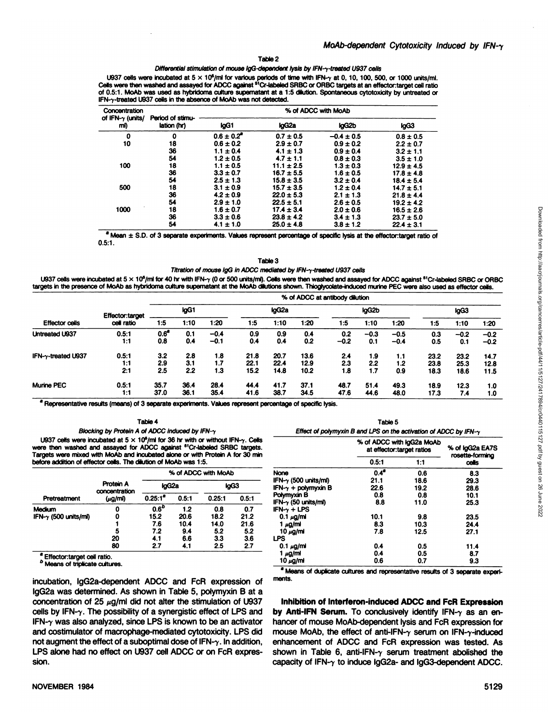#### Table 2

# Differential stimulation of mouse IgG-dependent lysis by IFN-y-treated U937 cells

U937 cells were incubated at  $5 \times 10^6$ /ml for various periods of time with IFN- $\gamma$  at 0, 10, 100, 500, or 1000 units/ml. Cells were then washed and assayed for ADCC against <sup>61</sup>Cr-labeled SRBC or ORBC targets at an effector:target cell ratio of 0.5:1. MoAb was used as hybridoma culture supernatant at a 1:5 dilution. Spontaneous cytotoxicity by untreated or IFN-y-treated U937 cells in the absence of MoAb was not detected.

| Concentration                   |                                 | % of ADCC with MoAb   |                |                |                |  |  |  |
|---------------------------------|---------------------------------|-----------------------|----------------|----------------|----------------|--|--|--|
| of IFN- $\gamma$ (units/<br>mI) | Period of stimu-<br>lation (hr) | IgG1                  | IgG2a          | IgG2b          | lgG3           |  |  |  |
| 0                               | 0                               | $0.6 \pm 0.2^{\circ}$ | $0.7 \pm 0.5$  | $-0.4 \pm 0.5$ | $0.8 \pm 0.5$  |  |  |  |
| 10                              | 18                              | $0.6 \pm 0.2$         | $2.9 \pm 0.7$  | $0.9 \pm 0.2$  | $2.2 \pm 0.7$  |  |  |  |
|                                 | 36                              | $1.1 \pm 0.4$         | $4.1 \pm 1.3$  | $0.9 \pm 0.4$  | $3.2 \pm 1.1$  |  |  |  |
|                                 | 54                              | $1.2 \pm 0.5$         | $4.7 \pm 1.1$  | $0.8 \pm 0.3$  | $3.5 \pm 1.0$  |  |  |  |
| 100                             | 18                              | $1.1 \pm 0.5$         | $11.1 \pm 2.5$ | $1.3 \pm 0.3$  | $12.9 \pm 4.5$ |  |  |  |
|                                 | 36                              | $3.3 \pm 0.7$         | $16.7 \pm 5.5$ | $1.6 \pm 0.5$  | $17.8 \pm 4.8$ |  |  |  |
|                                 | 54                              | $2.5 \pm 1.3$         | $15.8 \pm 3.5$ | $3.2 \pm 0.4$  | $18.4 \pm 5.4$ |  |  |  |
| 500                             | 18                              | $3.1 \pm 0.9$         | $15.7 \pm 3.5$ | $1.2 \pm 0.4$  | $14.7 \pm 5.1$ |  |  |  |
|                                 | 36                              | $4.2 \pm 0.9$         | $22.0 \pm 5.3$ | $2.1 \pm 1.3$  | $21.8 \pm 4.4$ |  |  |  |
|                                 | 54                              | $2.9 \pm 1.0$         | $22.5 \pm 5.1$ | $2.6 \pm 0.5$  | $19.2 \pm 4.2$ |  |  |  |
| 1000                            | 18                              | $1.6 \pm 0.7$         | $17.4 \pm 3.4$ | $2.0 \pm 0.6$  | $16.5 \pm 2.6$ |  |  |  |
|                                 | 36                              | $3.3 \pm 0.6$         | $23.8 \pm 4.2$ | $3.4 \pm 1.3$  | $23.7 \pm 5.0$ |  |  |  |
|                                 | 54                              | $4.1 \pm 1.0$         | $25.0 \pm 4.8$ | $3.8 \pm 1.2$  | $22.4 \pm 3.1$ |  |  |  |

Mean ± S.D. of 3 separate experiments. Values represent percentage of specific lysis at the effector: target ratio of  $0.5:1.$ 

#### Table 3

Titration of mouse IgG in ADCC mediated by IFN-y-treated U937 cells

U937 cells were incubated at 5 x 10<sup>5</sup>/ml for 40 hr with IFN- $\gamma$  (0 or 500 units/ml). Cells were then washed and assayed for ADCC against <sup>51</sup>Cr-labeled SRBC or ORBC targets in the presence of MoAb as hybridoma culture supernatant at the MoAb dilutions shown. Thioglycolate-induced murine PEC were also used as effector cells.

|                       |                        |               |      |        |      |       | % of ADCC at antibody dilution |        |        |        |      |        |        |  |  |  |
|-----------------------|------------------------|---------------|------|--------|------|-------|--------------------------------|--------|--------|--------|------|--------|--------|--|--|--|
|                       | <b>Effector:target</b> |               | IgG1 |        |      | IgG2a |                                |        | lgG2b  |        |      | IgG3   |        |  |  |  |
| <b>Effector cells</b> | cell ratio             | 1:5           | 1:10 | 1:20   | 1:5  | 1:10  | 1:20                           | 1:5    | 1:10   | 1:20   | 1:5  | 1:10   | 1:20   |  |  |  |
| <b>Untreated U937</b> | 0.5:1                  | $0.6^{\circ}$ | 0.1  | $-0.4$ | 0.9  | 0.9   | 0.4                            | 0.2    | $-0.3$ | $-0.5$ | 0.3  | $-0.2$ | $-0.2$ |  |  |  |
|                       | 1:1                    | 0.8           | 0.4  | $-0.1$ | 0.4  | 0.4   | 0.2                            | $-0.2$ | 0.1    | $-0.4$ | 0.5  | 0.1    | $-0.2$ |  |  |  |
| IFN-y-treated U937    | 0.5:1                  | 3.2           | 2.8  | 1.8    | 21.8 | 20.7  | 13.6                           | 2.4    | 1.9    | 1.1    | 23.2 | 23.2   | 14.7   |  |  |  |
|                       | 1:1                    | 2.9           | 3.1  | 1.7    | 22.1 | 22.4  | 12.9                           | 2.3    | 2.2    | 1.2    | 23.8 | 25.3   | 12.8   |  |  |  |
|                       | 2:1                    | 2.5           | 2.2  | 1.3    | 15.2 | 14.8  | 10.2                           | 1.8    | 1.7    | 0.9    | 18.3 | 18.6   | 11.5   |  |  |  |
| <b>Murine PEC</b>     | 0.5:1                  | 35.7          | 36.4 | 28.4   | 44.4 | 41.7  | 37.1                           | 48.7   | 51.4   | 49.3   | 18.9 | 12.3   | 1.0    |  |  |  |
|                       | 1:1                    | 37.0          | 36.1 | 35.4   | 41.6 | 38.7  | 34.5                           | 47.6   | 44.6   | 48.0   | 17.3 | 7.4    | 1.0    |  |  |  |

a Representative results (means) of 3 separate experiments. Values represent percentage of specific lysis.

## Table 4

Blocking by Protein A of ADCC induced by IFN- $\gamma$ U937 cells were incubated at  $5 \times 10^6$ /ml for 36 hr with or without IFN- $\gamma$ . Cells

| was used was foul and assayou for ADOO against. Or adopted only targets.<br>Targets were mixed with MoAb and incubated alone or with Protein A for 30 min<br>before addition of effector cells. The dilution of MoAb was 1:5. |                     |
|-------------------------------------------------------------------------------------------------------------------------------------------------------------------------------------------------------------------------------|---------------------|
|                                                                                                                                                                                                                               | % of ADCC with MoAb |

| Pretreatment                 | Protein A<br>concentration | IgG <sub>2a</sub> |       | lgG3   |       |  |
|------------------------------|----------------------------|-------------------|-------|--------|-------|--|
|                              | $(\mu$ g/ml)               | $0.25:1^a$        | 0.5:1 | 0.25:1 | 0.5:1 |  |
| Medium                       | 0                          | 0.6 <sup>b</sup>  | 1.2   | 0.8    | 0.7   |  |
| IFN- $\gamma$ (500 units/ml) | 0                          | 15.2              | 20.6  | 18.2   | 21.2  |  |
|                              |                            | 7.6               | 10.4  | 14.0   | 21.6  |  |
|                              | 5                          | 7.2               | 9.4   | 5.2    | 5.2   |  |
|                              | 20                         | 4.1               | 6.6   | 3.3    | 3.6   |  |
|                              | 80                         | 2.7               | 4.1   | 2.5    | 2.7   |  |

<sup>a</sup> Effector:target cell ratio.

b Means of triplicate cultures.

incubation, IgG2a-dependent ADCC and FcR expression of IgG2a was determined. As shown in Table 5, polymyxin B at a concentration of 25  $\mu$ g/ml did not alter the stimulation of U937 cells by IFN- $\gamma$ . The possibility of a synergistic effect of LPS and IFN-y was also analyzed, since LPS is known to be an activator and costimulator of macrophage-mediated cytotoxicity. LPS did not augment the effect of a suboptimal dose of  $IFN-\gamma$ . In addition, LPS alone had no effect on U937 cell ADCC or on FcR expression.

Table 5 Effect of polymyxin B and LPS on the activation of ADCC by IFN- $\gamma$ 

|                              |               | % of ADCC with IgG2a MoAb<br>% of IgG2a EA7S<br>at effector: target ratios |                          |
|------------------------------|---------------|----------------------------------------------------------------------------|--------------------------|
|                              | 0.5:1         | 1:1                                                                        | rosette-formina<br>cells |
| None                         | $0.4^{\circ}$ | 0.6                                                                        | 8.3                      |
| IFN- $\gamma$ (500 units/ml) | 21.1          | 18.6                                                                       | 29.3                     |
| IFN- $\gamma$ + polymyxin B  | 22.6          | 19.2                                                                       | 28.6                     |
| Polymyxin B                  | 0.8           | 0.8                                                                        | 10.1                     |
| IFN- $\gamma$ (50 units/ml)  | 8.8           | 11.0                                                                       | 25.3                     |
| $IFN-\gamma + LPS$           |               |                                                                            |                          |
| $0.1 \mu g/ml$               | 10.1          | 9.8                                                                        | 23.5                     |
| $1 \mu g/m$                  | 8.3           | 10.3                                                                       | 24.4                     |
| 10 $\mu$ g/mi                | 7.8           | 12.5                                                                       | 27.1                     |
| LPS                          |               |                                                                            |                          |
| 0.1 $\mu$ g/mi               | 0.4           | 0.5                                                                        | 11.4                     |
| 1 $\mu$ g/mi                 | 0.4           | 0.5                                                                        | 8.7                      |
| 10 µg/ml                     | 0.6           | 0.7                                                                        | 9.3                      |

<sup>a</sup> Means of duplicate cultures and representative results of 3 separate experiments.

Inhibition of Interferon-induced ADCC and FcR Expression by Anti-IFN Serum. To conclusively identify IFN- $\gamma$  as an enhancer of mouse MoAb-dependent lysis and FcR expression for mouse MoAb, the effect of anti-IFN- $\gamma$  serum on IFN- $\gamma$ -induced enhancement of ADCC and FcR expression was tested. As shown in Table 6, anti-IFN- $\gamma$  serum treatment abolished the capacity of IFN- $\gamma$  to induce IgG2a- and IgG3-dependent ADCC.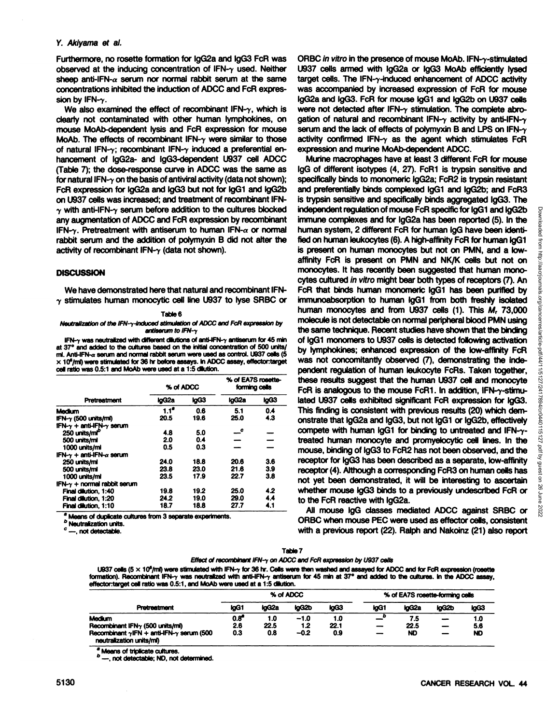# Y. Akiyama et al.

Furthermore, no rosette formation for lgG2a and IgGS FcR was observed at the inducing concentration of  $IFN-\gamma$  used. Neither sheep anti-IFN- $\alpha$  serum nor normal rabbit serum at the same concentrations inhibited the induction of ADCC and FcR expres sion by IFN- $\gamma$ .

We also examined the effect of recombinant  $IFN-\gamma$ , which is dearly not contaminated with other human lymphokines, on mouse MoAb-dependent lysis and FcR expression for mouse MoAb. The effects of recombinant  $IFN-\gamma$  were similar to those of natural IFN- $\gamma$ ; recombinant IFN- $\gamma$  induced a preferential enhancement of lgG2a- and IgGS-dependent U937 cell ADCC (Table 7); the dose-response curve in ADCC was the same as for natural IFN- $\gamma$  on the basis of antiviral activity (data not shown); FcR expression for !gG2a and IgGS but not for lgG1 and lgG2b on U937 cells was increased; and treatment of recombinant IFN- $\gamma$  with anti-IFN- $\gamma$  serum before addition to the cultures blocked any augmentation of ADCC and FcR expression by recombinant IFN- $\gamma$ . Pretreatment with antiserum to human IFN- $\alpha$  or normal rabbit serum and the addition of polymyxin B did not alter the activity of recombinant  $IFN-\gamma$  (data not shown).

# **DISCUSSION**

We have demonstrated here that natural and recombinant IFN- $\gamma$  stimulates human monocytic cell line U937 to lyse SRBC or

## Table 6

**Neutralization of the IFN-y-induced stimulation of ADCC and FcR expression by antiserum to IFN-y**

IFN- $\gamma$  was neutralized with different dilutions of anti-IFN- $\gamma$  antiserum for 45 min at 37°and added to the cultures based on the initial concentration of 500 units/ ml. Anti-IFN- $\alpha$  serum and normal rabbit serum were used as control. U937 cells (5  $\times$  10<sup>6</sup>/ml) were stimulated for 36 hr before assays. In ADCC assay, effector:target cell ratio was 0.5:1 and MoAb were used at a 1:5 dilution.

|                                          | % of ADCC         |      | % of EA7S rosette-<br>forming cells |      |  |
|------------------------------------------|-------------------|------|-------------------------------------|------|--|
| Pretreatment                             | kgG <sub>2a</sub> | IgG3 | lgG2a                               | kgG3 |  |
| <b>Medium</b>                            | $1.1^{\circ}$     | 0.6  | 5.1                                 | 0.4  |  |
| IFN- $\gamma$ (500 units/ml)             | 20.5              | 19.6 | 25.0                                | 4.3  |  |
| IFN- $\gamma$ + anti-IFN- $\gamma$ serum |                   |      |                                     |      |  |
| 250 units/ml <sup>p</sup>                | 4.8               | 5.0  | _°                                  |      |  |
| 500 units/ml                             | 2.0               | 0.4  |                                     |      |  |
| 1000 units/ml                            | 0.5               | 0.3  |                                     |      |  |
| IFN- $\gamma$ + anti-IFN- $\alpha$ serum |                   |      |                                     |      |  |
| 250 units/ml                             | 24.0              | 18.8 | 20.6                                | 3.6  |  |
| 500 units/ml                             | 23.8              | 23.0 | 21.6                                | 3.9  |  |
| 1000 units/ml                            | 23.5              | 17.9 | 22.7                                | 3.8  |  |
| $IFN-\gamma + normal$ rabbit serum       |                   |      |                                     |      |  |
| Final dilution, 1:40                     | 19.8              | 19.2 | 25.0                                | 4.2  |  |
| Final dilution, 1:20                     | 24.2              | 19.0 | 29.0                                | 4.4  |  |
| Final dilution, 1:10                     | 18.7              | 18.8 | 27.7                                | 4.1  |  |

\* Means of duplicate cultures from 3 separate experiments.

**b** Neutralization units.

-, not detectable.

ORBC in vitro in the presence of mouse MoAb. IFN- $\gamma$ -stimulated U937 cells armed with lgG2a or IgGS MoAb efficiently lysed target cells. The IFN- $\gamma$ -induced enhancement of ADCC activity was accompanied by increased expression of FcR for mouse lgG2a and IgGS. FcR for mouse lgG1 and lgG2b on U937 cells were not detected after  $IFN-\gamma$  stimulation. The complete abrogation of natural and recombinant IFN- $\gamma$  activity by anti-IFN- $\gamma$ serum and the lack of effects of polymyxin B and LPS on IFN- $\gamma$ activity confirmed IFN- $\gamma$  as the agent which stimulates FcR expression and murine MoAb-dependent ADCC.

 $\frac{1}{2}$  forming cells  $\frac{1}{2}$  FcR is analogous to the mouse FcR1. In addition, IFN- $\gamma$ -stimu-Murine macrophages have at least 3 different FcR for mouse IgG of different isotypes (4, 27). FcR1 is trypsin sensitive and specifically binds to monomeric lgG2a; FcR2 is trypsin resistant and preferentially binds complexed IgG1 and IgG2b; and FcR3 is trypsin sensitive and specifically binds aggregated IgGS. The independent regulation of mouse FcR specific for IgG1 and IgG2b immune complexes and for IgG2a has been reported (5). In the human system, 2 different FcR for human IgG have been identiimmune complexes and for lgG2a has been reported (5). In the human system, 2 different FcR for human IgG have been identi fied on human leukocytes (6). A high-affinity FcR for human  $\log 1$ is present on human monocytes but not on PMN, and a low-<br>affinity FcR is present on PMN and NK/K cells but not on<br>monocytes. It has recently been suggested that human mono-<br>cytes cultured in vitro might bear both types of affinity FcR is present on PMN and NK/K cells but not on monocytes. It has recently been suggested that human mono cytes cultured in vitro might bear both types of receptors (7). An FcR that binds human monomeric lgG1 has been purified by immunoabsorption to human lgG1 from both freshly isolated human monocytes and from U937 cells (1). This M, 73,000 molecule is not detectable on normal peripheral blood PMN using the same technique. Recent studies have shown that the binding of lgG1 monomers to U937 cells is detected following activation by lymphokines; enhanced expression of the tow-affinity FcR was not concomitantly observed (7), demonstrating the independent regulation of human leukocyte FcRs. Taken together, these results suggest that the human U937 cell and monocyte lated U937 cells exhibited significant FcR expression for IgGS. This finding is consistent with previous results (20) which dem onstrate that lgG2a and IgGS, but not lgG1 or lgG2b, effectively compete with human lgG1 for binding to untreated and IFN- $\gamma$ -<br>treated human monocyte and promyelocytic cell lines. In the<br>mouse, binding of IgG3 to FcR2 has not been observed, and the<br>receptor for IgG3 has been described treated human monocyte and promyelocytic cell lines. In the mouse, binding of igGS to FcR2 has not been observed, and the receptor for IgG3 has been described as a separate, low-affinity receptor (4). Although a corresponding FcRS on human cells has not yet been demonstrated, it will be interesting to ascertain whether mouse lgG3 binds to a previously undescribed FcR or to the FcR reactive with lgG2a.

dilution, 1:10 18.7 18.8 27.7 4.1 All mouse IgG classes mediated ADCC against SRBC or  $\frac{8}{10}$ ORBC when mouse PEC were used as effector cells, consistent with a previous report (22). Ralph and Nakoinz (21) also report

|     |   |          | Table 7 |   |  |  |  |
|-----|---|----------|---------|---|--|--|--|
| . . | . | $\cdots$ |         | . |  |  |  |

Effect of recombinant IFN- $\gamma$  on ADCC and FcR expression by U937 cells

U937 cells (5 x 10<sup>6</sup>/ml) were stimulated with IFN- $\gamma$  for 36 hr. Cells were then washed and assayed for ADCC and for FcR expression (rosette formation). Recombinant IFN- $\gamma$  was neutralized with anti-IFN- $\gamma$  antiserum for 45 min at 37° and added to the cultures. In the ADCC assay, effector:target cell ratio was 0.5:1, and MoAb were used at a 1:5 dilution.

|                                                                                      |               |       | % of ADCC |      | % of EA7S rosette-forming cells |                   |                          |      |
|--------------------------------------------------------------------------------------|---------------|-------|-----------|------|---------------------------------|-------------------|--------------------------|------|
| <b>Pretreatment</b>                                                                  | IgG1          | kxG2a | IgG2b     | IgG3 | lgG1                            | loG <sub>28</sub> | loG2b                    | IgG3 |
| Medium                                                                               | $0.8^{\circ}$ | 1.0   | $-1.0$    | 1.0  |                                 | 7.5               |                          | 1.0  |
| Recombinant IFN $\gamma$ (500 units/ml)                                              | 2.6           | 22.5  | 1.2       | 22.1 | $\overline{\phantom{0}}$        | 22.5              | $\overline{\phantom{0}}$ | 5.6  |
| Recombinant $\gamma$ IFN + anti-IFN- $\gamma$ serum (500<br>neutralization units/ml) | 0.3           | 0.8   | $-0.2$    | 0.9  | $\overline{\phantom{0}}$        | ND                | $\overline{\phantom{0}}$ | ND   |

Means of triplicate cultures.

—,not detectable; ND, not determined.